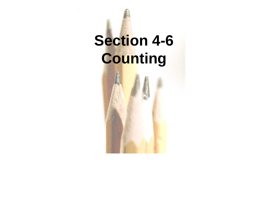# **Section 4-6 Counting**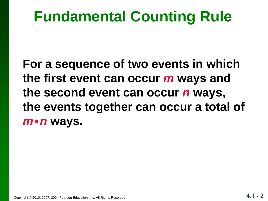# **Fundamental Counting Rule**

**For a sequence of two events in which the first event can occur** *m* **ways and the second event can occur** *n* **ways, the events together can occur a total of**  *m n* **ways.**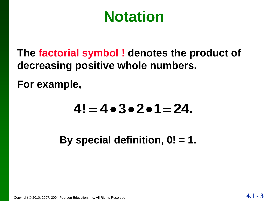# **Notation**

**The factorial symbol ! denotes the product of decreasing positive whole numbers.** 

**For example,** 

# $4! = 4 \cdot 3 \cdot 2 \cdot 1 = 24$ .

**By special definition, 0! = 1.** 

Copyright © 2010, 2007, 2004 Pearson Education, Inc. All Rights Reserved. **4.1** - 3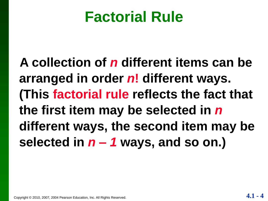# **Factorial Rule**

**A collection of** *n* **different items can be arranged in order** *n***! different ways. (This factorial rule reflects the fact that the first item may be selected in** *n* **different ways, the second item may be selected in** *n – 1* **ways, and so on.)**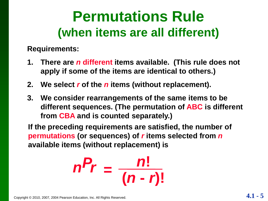# **Permutations Rule (when items are all different)**

**Requirements:**

- **1. There are** *n* **different items available. (This rule does not apply if some of the items are identical to others.)**
- **2. We select** *r* **of the** *n* **items (without replacement).**
- **3. We consider rearrangements of the same items to be different sequences. (The permutation of ABC is different from CBA and is counted separately.)**

**If the preceding requirements are satisfied, the number of permutations (or sequences) of** *r* **items selected from** *n* **available items (without replacement) is**

$$
n^P r = \frac{n!}{(n-r)!}
$$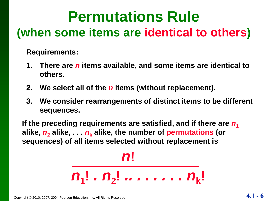# **Permutations Rule (when some items are identical to others)**

**Requirements:**

- **1. There are** *n* **items available, and some items are identical to others.**
- **2. We select all of the** *n* **items (without replacement).**
- **3. We consider rearrangements of distinct items to be different sequences.**

If the preceding requirements are satisfied, and if there are  $n_1$ alike,  $n_2$  alike,  $\ldots$   $n_k$  alike, the number of permutations (or **sequences) of all items selected without replacement is**

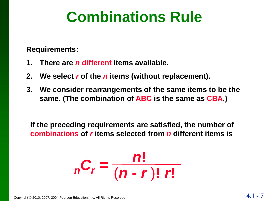# **Combinations Rule**

**Requirements:**

- **1. There are** *n* **different items available.**
- **2. We select** *r* **of the** *n* **items (without replacement).**
- **3. We consider rearrangements of the same items to be the same. (The combination of ABC is the same as CBA.)**

**If the preceding requirements are satisfied, the number of combinations of** *r* **items selected from** *n* **different items is**

$$
nC_r = \frac{n!}{(n-r)! r!}
$$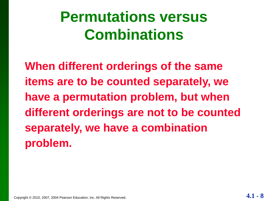# **Permutations versus Combinations**

**When different orderings of the same items are to be counted separately, we have a permutation problem, but when different orderings are not to be counted separately, we have a combination problem.**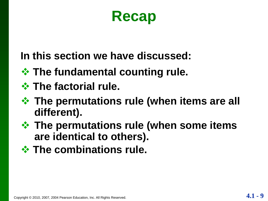# **Recap**

**In this section we have discussed:**

- **❖ The fundamental counting rule.**
- **The factorial rule.**
- **The permutations rule (when items are all different).**
- **The permutations rule (when some items are identical to others).**
- *<b>☆ The combinations rule.*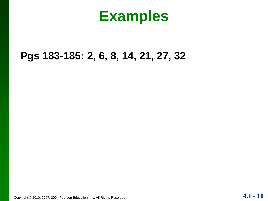### **Examples**

#### **Pgs 183-185: 2, 6, 8, 14, 21, 27, 32**

Copyright © 2010, 2007, 2004 Pearson Education, Inc. All Rights Reserved. **4.1 - 10**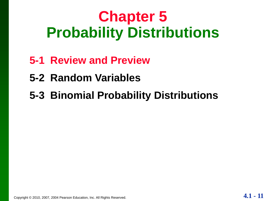# **Chapter 5 Probability Distributions**

- **5-1 Review and Preview**
- **5-2 Random Variables**
- **5-3 Binomial Probability Distributions**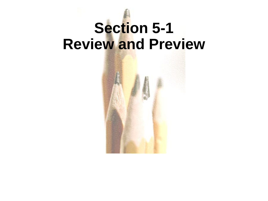# **Section 5-1 Review and Preview**

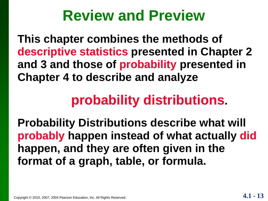# **Review and Preview**

**This chapter combines the methods of descriptive statistics presented in Chapter 2 and 3 and those of probability presented in Chapter 4 to describe and analyze** 

# **probability distributions.**

**Probability Distributions describe what will probably happen instead of what actually did happen, and they are often given in the format of a graph, table, or formula.**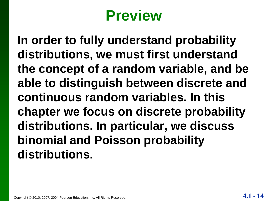# **Preview**

**In order to fully understand probability distributions, we must first understand the concept of a random variable, and be able to distinguish between discrete and continuous random variables. In this chapter we focus on discrete probability distributions. In particular, we discuss binomial and Poisson probability distributions.**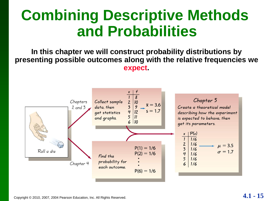# **Combining Descriptive Methods and Probabilities**

**In this chapter we will construct probability distributions by presenting possible outcomes along with the relative frequencies we expect.**

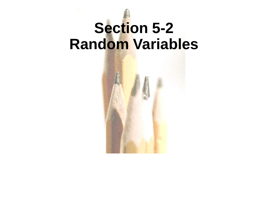# **Section 5-2 Random Variables**

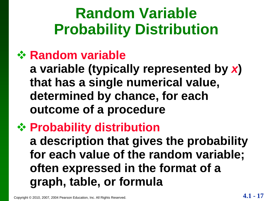# **Random Variable Probability Distribution**

#### **Random variable**

**a variable (typically represented by** *x***) that has a single numerical value, determined by chance, for each outcome of a procedure**

### **<sup>❖</sup> Probability distribution a description that gives the probability for each value of the random variable; often expressed in the format of a graph, table, or formula**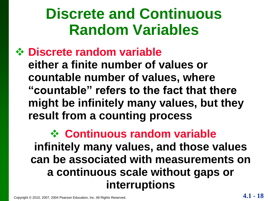# **Discrete and Continuous Random Variables**

#### **Discrete random variable**

**either a finite number of values or countable number of values, where "countable" refers to the fact that there might be infinitely many values, but they result from a counting process**

#### **Continuous random variable infinitely many values, and those values can be associated with measurements on a continuous scale without gaps or interruptions**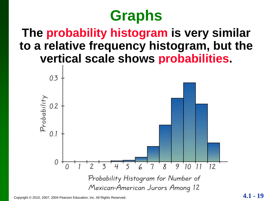# **Graphs**

#### **The probability histogram is very similar to a relative frequency histogram, but the vertical scale shows probabilities.**



Copyright © 2010, 2007, 2004 Pearson Education, Inc. All Rights Reserved. **4.1 - 19**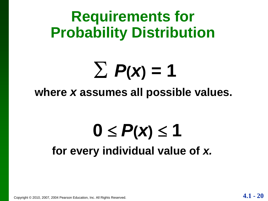**Requirements for Probability Distribution**

# $\sum$   $P(x) = 1$

#### **where** *x* **assumes all possible values.**

# $0 \leq P(x) \leq 1$ **for every individual value of** *x.*

Copyright © 2010, 2007, 2004 Pearson Education, Inc. All Rights Reserved. **4.1 - 20**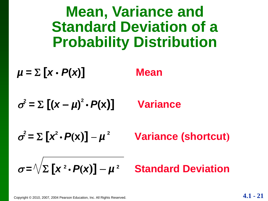**Mean, Variance and Standard Deviation of a Probability Distribution**

 $\mu = \sum [x \cdot P(x)]$  Mean

 $\boldsymbol{\sigma}$  $\sum_{i=1}^{3} P_i = \sum_{i=1}^{3} (X - \mu)^2$ **•** *P***(x)] Variance**

 $\boldsymbol{\sigma}$  $\mathbf{P}^2 = \sum [\mathbf{x}^2 \cdot \mathbf{P}(\mathbf{x})] - \mu$ **<sup>2</sup> Variance (shortcut)**

$$
\sigma = \sqrt{\sum [x^2 \cdot P(x)] - \mu^2}
$$
 Standard Deviation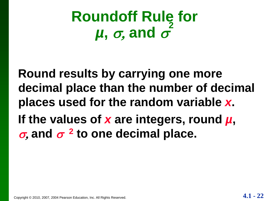#### **Roundoff Rule for**   $\mu$ ,  $\sigma$ , and  $\sigma$ **2**

**Round results by carrying one more decimal place than the number of decimal places used for the random variable** *x***. If the values of** *x* **are integers, round** *µ***,**   $\sigma$ , and  $\sigma$  <sup>2</sup> to one decimal place.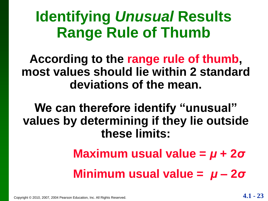# **Identifying** *Unusual* **Results Range Rule of Thumb**

#### **According to the range rule of thumb, most values should lie within 2 standard deviations of the mean.**

**We can therefore identify "unusual" values by determining if they lie outside these limits:**

> **Maximum usual value =** *μ* **+ 2***σ* **Minimum usual value =** *μ* **– 2***σ*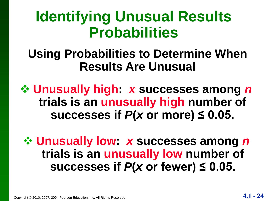# **Identifying Unusual Results Probabilities**

#### **Using Probabilities to Determine When Results Are Unusual**

 **Unusually high:** *x* **successes among** *n* **trials is an unusually high number of**  successes if  $P$ (*x* or more)  $\leq$  0.05.

 **Unusually low:** *x* **successes among** *n* **trials is an unusually low number of**  successes if  $P$ (*x* or fewer)  $\leq$  0.05.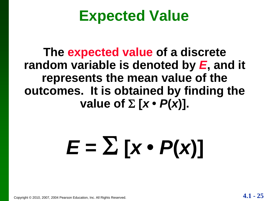# **Expected Value**

**The expected value of a discrete random variable is denoted by** *E***, and it represents the mean value of the outcomes. It is obtained by finding the value of**  $\Sigma$   $\lbrack x \cdot P(x) \rbrack$ .

# $E = \sum [x \cdot P(x)]$